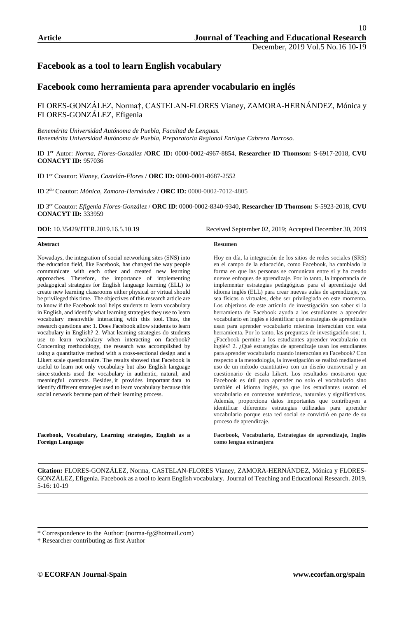# **Facebook as a tool to learn English vocabulary**

## **Facebook como herramienta para aprender vocabulario en inglés**

FLORES-GONZÁLEZ, Norma†, CASTELAN-FLORES Vianey, ZAMORA-HERNÁNDEZ, Mónica y FLORES-GONZÁLEZ, Efigenia

*Benemérita Universidad Autónoma de Puebla, Facultad de Lenguas. Benemérita Universidad Autónoma de Puebla, Preparatoria Regional Enrique Cabrera Barroso.* 

ID 1er Autor: *Norma, Flores-González* /**ORC ID:** 0000-0002-4967-8854, **Researcher ID Thomson:** S-6917-2018, **CVU CONACYT ID:** 957036

ID 1er Coautor: *Vianey, Castelán-Flores* / **ORC ID:** 0000-0001-8687-2552

ID 2do Coautor: *Mónica, Zamora-Hernández* / **ORC ID:** 0000-0002-7012-4805

ID 3er Coautor: *Efigenia Flores-González* / **ORC ID**: 0000-0002-8340-9340, **Researcher ID Thomson:** S-5923-2018, **CVU CONACYT ID:** 333959

#### **Abstract**

Nowadays, the integration of social networking sites (SNS) into the education field, like Facebook, has changed the way people communicate with each other and created new learning approaches. Therefore, the importance of implementing pedagogical strategies for English language learning (ELL) to create new learning classrooms either physical or virtual should be privileged this time. The objectives of this research article are to know if the Facebook tool helps students to learn vocabulary in English, and identify what learning strategies they use to learn vocabulary meanwhile interacting with this tool. Thus, the research questions are: 1. Does Facebook allow students to learn vocabulary in English? 2. What learning strategies do students use to learn vocabulary when interacting on facebook? Concerning methodology, the research was accomplished by using a quantitative method with a cross-sectional design and a Likert scale questionnaire. The results showed that Facebook is useful to learn not only vocabulary but also English language since students used the vocabulary in authentic, natural, and meaningful contexts. Besides, it provides important data to identify different strategies used to learn vocabulary because this social network became part of their learning process.

**Facebook, Vocabulary, Learning strategies, English as a Foreign Language**

**DOI**: 10.35429/JTER.2019.16.5.10.19 Received September 02, 2019; Accepted December 30, 2019

#### **Resumen**

Hoy en día, la integración de los sitios de redes sociales (SRS) en el campo de la educación, como Facebook, ha cambiado la forma en que las personas se comunican entre sí y ha creado nuevos enfoques de aprendizaje. Por lo tanto, la importancia de implementar estrategias pedagógicas para el aprendizaje del idioma inglés (ELL) para crear nuevas aulas de aprendizaje, ya sea físicas o virtuales, debe ser privilegiada en este momento. Los objetivos de este artículo de investigación son saber si la herramienta de Facebook ayuda a los estudiantes a aprender vocabulario en inglés e identificar qué estrategias de aprendizaje usan para aprender vocabulario mientras interactúan con esta herramienta. Por lo tanto, las preguntas de investigación son: 1. ¿Facebook permite a los estudiantes aprender vocabulario en inglés? 2. ¿Qué estrategias de aprendizaje usan los estudiantes para aprender vocabulario cuando interactúan en Facebook? Con respecto a la metodología, la investigación se realizó mediante el uso de un método cuantitativo con un diseño transversal y un cuestionario de escala Likert. Los resultados mostraron que Facebook es útil para aprender no solo el vocabulario sino también el idioma inglés, ya que los estudiantes usaron el vocabulario en contextos auténticos, naturales y significativos. Además, proporciona datos importantes que contribuyen a identificar diferentes estrategias utilizadas para aprender vocabulario porque esta red social se convirtió en parte de su proceso de aprendizaje.

**Facebook, Vocabulario, Estrategias de aprendizaje, Inglés como lengua extranjera**

**Citation:** FLORES-GONZÁLEZ, Norma, CASTELAN-FLORES Vianey, ZAMORA-HERNÁNDEZ, Mónica y FLORES-GONZÁLEZ, Efigenia. Facebook as a tool to learn English vocabulary. Journal of Teaching and Educational Research. 2019. 5-16: 10-19

<sup>\*</sup> Correspondence to the Author: (norma-fg@hotmail.com)

<sup>†</sup> Researcher contributing as first Author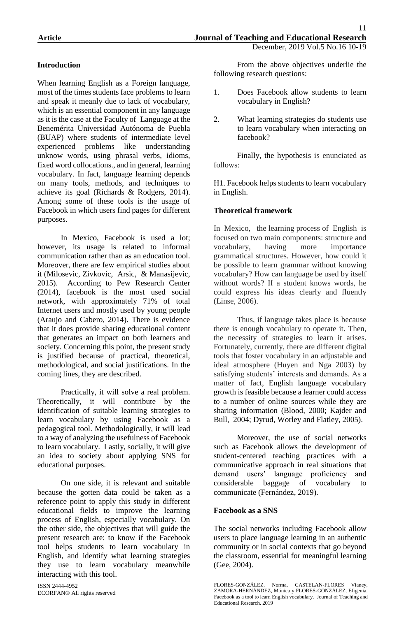# **Introduction**

When learning English as a Foreign language, most of the times students face problems to learn and speak it meanly due to lack of vocabulary, which is an essential component in any language as it is the case at the Faculty of Language at the Benemérita Universidad Autónoma de Puebla (BUAP) where students of intermediate level experienced problems like understanding unknow words, using phrasal verbs, idioms, fixed word collocations., and in general, learning vocabulary. In fact, language learning depends on many tools, methods, and techniques to achieve its goal (Richards & Rodgers, 2014). Among some of these tools is the usage of Facebook in which users find pages for different purposes.

In Mexico, Facebook is used a lot; however, its usage is related to informal communication rather than as an education tool. Moreover, there are few empirical studies about it (Milosevic, Zivkovic, Arsic, & Manasijevic, 2015). According to Pew Research Center (2014), facebook is the most used social network, with approximately 71% of total Internet users and mostly used by young people (Araujo and Cabero, 2014). There is evidence that it does provide sharing educational content that generates an impact on both learners and society. Concerning this point, the present study is justified because of practical, theoretical, methodological, and social justifications. In the coming lines, they are described.

Practically, it will solve a real problem. Theoretically, it will contribute by the identification of suitable learning strategies to learn vocabulary by using Facebook as a pedagogical tool. Methodologically, it will lead to a way of analyzing the usefulness of Facebook to learn vocabulary. Lastly, socially, it will give an idea to society about applying SNS for educational purposes.

On one side, it is relevant and suitable because the gotten data could be taken as a reference point to apply this study in different educational fields to improve the learning process of English, especially vocabulary. On the other side, the objectives that will guide the present research are: to know if the Facebook tool helps students to learn vocabulary in English, and identify what learning strategies they use to learn vocabulary meanwhile interacting with this tool.

From the above objectives underlie the following research questions:

- 1. Does Facebook allow students to learn vocabulary in English?
- 2. What learning strategies do students use to learn vocabulary when interacting on facebook?

Finally, the hypothesis is enunciated as follows:

H1. Facebook helps students to learn vocabulary in English.

# **Theoretical framework**

In Mexico, the learning process of English is focused on two main components: structure and vocabulary, having more importance grammatical structures. However, how could it be possible to learn grammar without knowing vocabulary? How can language be used by itself without words? If a student knows words, he could express his ideas clearly and fluently (Linse, 2006).

Thus, if language takes place is because there is enough vocabulary to operate it. Then, the necessity of strategies to learn it arises. Fortunately, currently, there are different digital tools that foster vocabulary in an adjustable and ideal atmosphere (Huyen and Nga 2003) by satisfying students' interests and demands. As a matter of fact, English language vocabulary growth is feasible because a learner could access to a number of online sources while they are sharing information (Blood, 2000; Kajder and Bull, 2004; Dyrud, Worley and Flatley, 2005).

Moreover, the use of social networks such as Facebook allows the development of student-centered teaching practices with a communicative approach in real situations that demand users' language proficiency and considerable baggage of vocabulary to communicate (Fernández, 2019).

#### **Facebook as a SNS**

The social networks including Facebook allow users to place language learning in an authentic community or in social contexts that go beyond the classroom, essential for meaningful learning (Gee, 2004).

FLORES-GONZÁLEZ, Norma, CASTELAN-FLORES Vianey, ZAMORA-HERNÁNDEZ, Mónica y FLORES-GONZÁLEZ, Efigenia. Facebook as a tool to learn English vocabulary. Journal of Teaching and Educational Research. 2019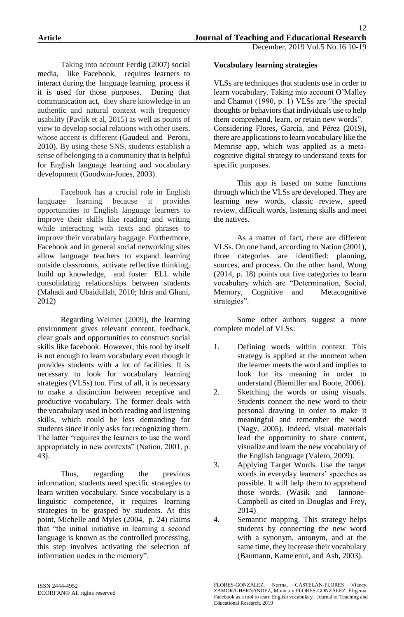Taking into account Ferdig (2007) social media, like Facebook, requires learners to interact during the language learning process if it is used for those purposes. During that communication act, they share knowledge in an authentic and natural context with frequency usability (Pavlik et al, 2015) as well as points of view to develop social relations with other users, whose accent is different (Gaudeul and Peroni, 2010). By using these SNS, students establish a sense of belonging to a community that is helpful for English language learning and vocabulary development (Goodwin-Jones, 2003).

Facebook has a crucial role in English language learning because it provides opportunities to English language learners to improve their skills like reading and writing while interacting with texts and phrases to improve their vocabulary baggage. Furthermore, Facebook and in general social networking sites allow language teachers to expand learning outside classrooms, activate reflective thinking, build up knowledge, and foster ELL while consolidating relationships between students (Mahadi and Ubaidullah, 2010; Idris and Ghani, 2012)

Regarding Weimer (2009), the learning environment gives relevant content, feedback, clear goals and opportunities to construct social skills like facebook. However, this tool by itself is not enough to learn vocabulary even though it provides students with a lot of facilities. It is necessary to look for vocabulary learning strategies (VLSs) too. First of all, it is necessary to make a distinction between receptive and productive vocabulary. The former deals with the vocabulary used in both reading and listening skills, which could be less demanding for students since it only asks for recognizing them. The latter "requires the learners to use the word appropriately in new contexts" (Nation, 2001, p. 43).

Thus, regarding the previous information, students need specific strategies to learn written vocabulary. Since vocabulary is a linguistic competence, it requires learning strategies to be grasped by students. At this point, Michelle and Myles (2004, p. 24) claims that "the initial initiative in learning a second language is known as the controlled processing, this step involves activating the selection of information nodes in the memory".

## **Vocabulary learning strategies**

VLSs are techniques that students use in order to learn vocabulary. Taking into account O'Malley and Chamot (1990, p. 1) VLSs are "the special thoughts or behaviors that individuals use to help them comprehend, learn, or retain new words". Considering Flores, García, and Pérez (2019), there are applications to learn vocabulary like the Memrise app, which was applied as a metacognitive digital strategy to understand texts for specific purposes.

This app is based on some functions through which the VLSs are developed. They are learning new words, classic review, speed review, difficult words, listening skills and meet the natives.

As a matter of fact, there are different VLSs. On one hand, according to Nation (2001), three categories are identified: planning, sources, and process. On the other hand, Wong (2014, p. 18) points out five categories to learn vocabulary which are "Determination, Social, Memory, Cognitive and Metacognitive strategies".

Some other authors suggest a more complete model of VLSs:

- 1. Defining words within context. This strategy is applied at the moment when the learner meets the word and implies to look for its meaning in order to understand (Biemiller and Boote, 2006).
- 2. Sketching the words or using visuals. Students connect the new word to their personal drawing in order to make it meaningful and remember the word (Nagy, 2005). Indeed, visual materials lead the opportunity to share content, visualize and learn the new vocabulary of the English language (Valero, 2009).
- 3. Applying Target Words. Use the target words in everyday learners' speeches as possible. It will help them to apprehend those words. (Wasik and Iannone-Campbell as cited in Douglas and Frey, 2014)
- 4. Semantic mapping. This strategy helps students by connecting the new word with a synonym, antonym, and at the same time, they increase their vocabulary (Baumann, Kame'enui, and Ash, 2003).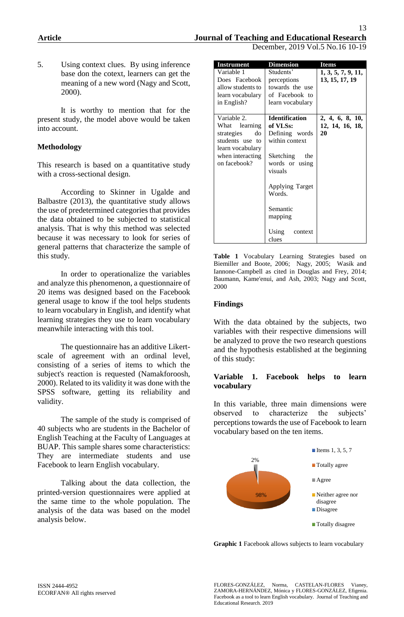December, 2019 Vol.5 No.16 10-19

5. Using context clues.By using inference base don the cotext, learners can get the meaning of a new word (Nagy and Scott, 2000).

It is worthy to mention that for the present study, the model above would be taken into account.

## **Methodology**

This research is based on a quantitative study with a cross-sectional design.

According to Skinner in Ugalde and Balbastre (2013), the quantitative study allows the use of predetermined categories that provides the data obtained to be subjected to statistical analysis. That is why this method was selected because it was necessary to look for series of general patterns that characterize the sample of this study.

In order to operationalize the variables and analyze this phenomenon, a questionnaire of 20 items was designed based on the Facebook general usage to know if the tool helps students to learn vocabulary in English, and identify what learning strategies they use to learn vocabulary meanwhile interacting with this tool.

The questionnaire has an additive Likertscale of agreement with an ordinal level, consisting of a series of items to which the subject's reaction is requested (Namakforoosh, 2000). Related to its validity it was done with the SPSS software, getting its reliability and validity.

The sample of the study is comprised of 40 subjects who are students in the Bachelor of English Teaching at the Faculty of Languages at BUAP. This sample shares some characteristics: They are intermediate students and use Facebook to learn English vocabulary.

Talking about the data collection, the printed-version questionnaires were applied at the same time to the whole population. The analysis of the data was based on the model analysis below.

| <b>Instrument</b>                                                                                                              | <b>Dimension</b>                                                                                                                                                                                            | <b>Items</b>                             |  |  |
|--------------------------------------------------------------------------------------------------------------------------------|-------------------------------------------------------------------------------------------------------------------------------------------------------------------------------------------------------------|------------------------------------------|--|--|
| Variable 1<br>Does Facebook<br>allow students to<br>learn vocabulary<br>in English?                                            | Students'<br>perceptions<br>towards the use<br>of Facebook to<br>learn vocabulary                                                                                                                           | 1, 3, 5, 7, 9, 11,<br>13, 15, 17, 19     |  |  |
| Variable 2.<br>What<br>learning<br>strategies<br>do<br>students use to<br>learn vocabulary<br>when interacting<br>on facebook? | <b>Identification</b><br>of VLSs:<br>Defining words<br>within context<br>Sketching the<br>words or using<br>visuals<br><b>Applying Target</b><br>Words.<br>Semantic<br>mapping<br>Using<br>context<br>clues | 2, 4, 6, 8, 10,<br>12, 14, 16, 18,<br>20 |  |  |

**Table 1** Vocabulary Learning Strategies based on Biemiller and Boote, 2006; Nagy, 2005; Wasik and Iannone-Campbell as cited in Douglas and Frey, 2014; Baumann, Kame'enui, and Ash, 2003; Nagy and Scott, 2000

#### **Findings**

With the data obtained by the subjects, two variables with their respective dimensions will be analyzed to prove the two research questions and the hypothesis established at the beginning of this study:

#### **Variable 1. Facebook helps to learn vocabulary**

In this variable, three main dimensions were observed to characterize the subjects' perceptions towards the use of Facebook to learn vocabulary based on the ten items.



**Graphic 1** Facebook allows subjects to learn vocabulary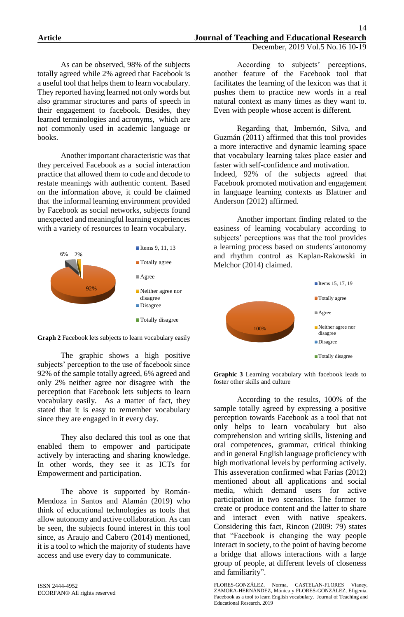As can be observed, 98% of the subjects totally agreed while 2% agreed that Facebook is a useful tool that helps them to learn vocabulary. They reported having learned not only words but also grammar structures and parts of speech in their engagement to facebook. Besides, they learned terminologies and acronyms, which are not commonly used in academic language or books.

Another important characteristic was that they perceived Facebook as a social interaction practice that allowed them to code and decode to restate meanings with authentic content. Based on the information above, it could be claimed that the informal learning environment provided by Facebook as social networks, subjects found unexpected and meaningful learning experiences with a variety of resources to learn vocabulary.





The graphic shows a high positive subjects' perception to the use of facebook since 92% of the sample totally agreed, 6% agreed and only 2% neither agree nor disagree with the perception that Facebook lets subjects to learn vocabulary easily. As a matter of fact, they stated that it is easy to remember vocabulary since they are engaged in it every day.

They also declared this tool as one that enabled them to empower and participate actively by interacting and sharing knowledge. In other words, they see it as ICTs for Empowerment and participation.

The above is supported by Román-Mendoza in Santos and Alamán (2019) who think of educational technologies as tools that allow autonomy and active collaboration. As can be seen, the subjects found interest in this tool since, as Araujo and Cabero (2014) mentioned, it is a tool to which the majority of students have access and use every day to communicate.

According to subjects' perceptions, another feature of the Facebook tool that facilitates the learning of the lexicon was that it pushes them to practice new words in a real natural context as many times as they want to. Even with people whose accent is different.

Regarding that, Imbernón, Silva, and Guzmán (2011) affirmed that this tool provides a more interactive and dynamic learning space that vocabulary learning takes place easier and faster with self-confidence and motivation. Indeed, 92% of the subjects agreed that Facebook promoted motivation and engagement in language learning contexts as Blattner and Anderson (2012) affirmed.

Another important finding related to the easiness of learning vocabulary according to subjects' perceptions was that the tool provides a learning process based on students´autonomy and rhythm control as Kaplan-Rakowski in Melchor (2014) claimed.



**Graphic 3** Learning vocabulary with facebook leads to foster other skills and culture

According to the results, 100% of the sample totally agreed by expressing a positive perception towards Facebook as a tool that not only helps to learn vocabulary but also comprehension and writing skills, listening and oral competences, grammar, critical thinking and in general English language proficiency with high motivational levels by performing actively. This asseveration confirmed what Farias (2012) mentioned about all applications and social media, which demand users for active participation in two scenarios. The former to create or produce content and the latter to share and interact even with native speakers. Considering this fact, Rincon (2009: 79) states that "Facebook is changing the way people interact in society, to the point of having become a bridge that allows interactions with a large group of people, at different levels of closeness and familiarity".

FLORES-GONZÁLEZ, Norma, CASTELAN-FLORES Vianey, ZAMORA-HERNÁNDEZ, Mónica y FLORES-GONZÁLEZ, Efigenia. Facebook as a tool to learn English vocabulary. Journal of Teaching and Educational Research. 2019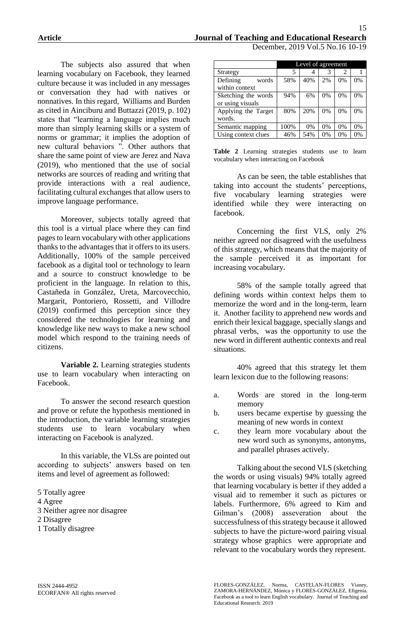The subjects also assured that when learning vocabulary on Facebook, they learned culture because it was included in any messages or conversation they had with natives or nonnatives. In this regard, Williams and Burden as cited in Ainciburu and Buttazzi (2019, p. 102) states that "learning a language implies much more than simply learning skills or a system of norms or grammar; it implies the adoption of new cultural behaviors ". Other authors that share the same point of view are Jerez and Nava (2019), who mentioned that the use of social networks are sources of reading and writing that provide interactions with a real audience, facilitating cultural exchanges that allow users to improve language performance.

Moreover, subjects totally agreed that this tool is a virtual place where they can find pages to learn vocabulary with other applications thanks to the advantages that it offers to its users. Additionally, 100% of the sample perceived facebook as a digital tool or technology to learn and a source to construct knowledge to be proficient in the language. In relation to this, Castañeda in González, Ureta, Marcovecchio, Margarit, Pontoriero, Rossetti, and Villodre (2019) confirmed this perception since they considered the technologies for learning and knowledge like new ways to make a new school model which respond to the training needs of citizens.

**Variable 2.** Learning strategies students use to learn vocabulary when interacting on Facebook.

To answer the second research question and prove or refute the hypothesis mentioned in the introduction, the variable learning strategies students use to learn vocabulary when interacting on Facebook is analyzed.

In this variable, the VLSs are pointed out according to subjects' answers based on ten items and level of agreement as followed:

- 5 Totally agree 4 Agree 3 Neither agree nor disagree 2 Disagree
- 1 Totally disagree

|                     | Level of agreement |       |    |       |       |  |
|---------------------|--------------------|-------|----|-------|-------|--|
| Strategy            | 5                  |       | 3  | 2     |       |  |
| Defining<br>words   | 58%                | 40%   | 2% | 0%    | 0%    |  |
| within context      |                    |       |    |       |       |  |
| Sketching the words | 94%                | 6%    | 0% | 0%    | 0%    |  |
| or using visuals    |                    |       |    |       |       |  |
| Applying the Target | 80%                | 20%   | 0% | 0%    | 0%    |  |
| words.              |                    |       |    |       |       |  |
| Semantic mapping    | 100%               | $0\%$ | 0% | $0\%$ | $0\%$ |  |
| Using context clues | 46%                | 54%   | 0% | 0%    | 0%    |  |

**Table 2** Learning strategies students use to learn vocabulary when interacting on Facebook

As can be seen, the table establishes that taking into account the students' perceptions, five vocabulary learning strategies were identified while they were interacting on facebook.

Concerning the first VLS, only 2% neither agreed nor disagreed with the usefulness of this strategy, which means that the majority of the sample perceived it as important for increasing vocabulary.

58% of the sample totally agreed that defining words within context helps them to memorize the word and in the long-term, learn it. Another facility to apprehend new words and enrich their lexical baggage, specially slangs and phrasal verbs, was the opportunity to use the new word in different authentic contexts and real situations.

40% agreed that this strategy let them learn lexicon due to the following reasons:

- a. Words are stored in the long-term memory
- b. users became expertise by guessing the meaning of new words in context
- c. they learn more vocabulary about the new word such as synonyms, antonyms, and parallel phrases actively.

Talking about the second VLS (sketching the words or using visuals) 94% totally agreed that learning vocabulary is better if they added a visual aid to remember it such as pictures or labels. Furthermore, 6% agreed to Kim and Gilman's (2008) asseveration about the successfulness of this strategy because it allowed subjects to have the picture-word pairing visual strategy whose graphics were appropriate and relevant to the vocabulary words they represent.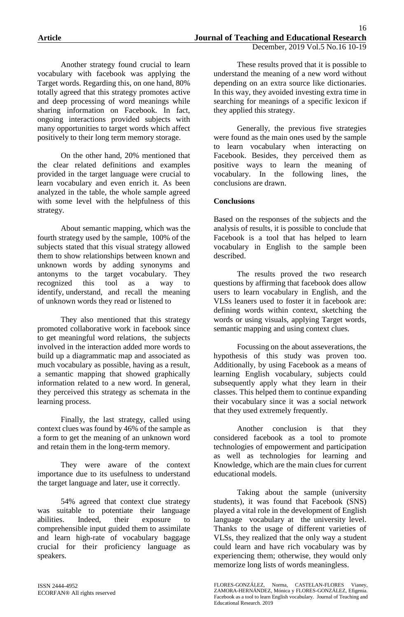These results proved that it is possible to

Another strategy found crucial to learn vocabulary with facebook was applying the Target words. Regarding this, on one hand, 80% totally agreed that this strategy promotes active and deep processing of word meanings while sharing information on Facebook. In fact, ongoing interactions provided subjects with many opportunities to target words which affect positively to their long term memory storage.

On the other hand, 20% mentioned that the clear related definitions and examples provided in the target language were crucial to learn vocabulary and even enrich it. As been analyzed in the table, the whole sample agreed with some level with the helpfulness of this strategy.

About semantic mapping, which was the fourth strategy used by the sample, 100% of the subjects stated that this visual strategy allowed them to show relationships between known and unknown words by adding synonyms and antonyms to the target vocabulary. They recognized this tool as a way to identify, understand, and recall the meaning of unknown words they read or listened to

They also mentioned that this strategy promoted collaborative work in facebook since to get meaningful word relations, the subjects involved in the interaction added more words to build up a diagrammatic map and associated as much vocabulary as possible, having as a result, a semantic mapping that showed graphically information related to a new word. In general, they perceived this strategy as schemata in the learning process.

Finally, the last strategy, called using context clues was found by 46% of the sample as a form to get the meaning of an unknown word and retain them in the long-term memory.

They were aware of the context importance due to its usefulness to understand the target language and later, use it correctly.

54% agreed that context clue strategy was suitable to potentiate their language abilities. Indeed, their exposure to comprehensible input guided them to assimilate and learn high-rate of vocabulary baggage crucial for their proficiency language as speakers.

understand the meaning of a new word without depending on an extra source like dictionaries. In this way, they avoided investing extra time in searching for meanings of a specific lexicon if they applied this strategy.

Generally, the previous five strategies were found as the main ones used by the sample to learn vocabulary when interacting on Facebook. Besides, they perceived them as positive ways to learn the meaning of vocabulary. In the following lines, the conclusions are drawn.

# **Conclusions**

Based on the responses of the subjects and the analysis of results, it is possible to conclude that Facebook is a tool that has helped to learn vocabulary in English to the sample been described.

The results proved the two research questions by affirming that facebook does allow users to learn vocabulary in English, and the VLSs leaners used to foster it in facebook are: defining words within context, sketching the words or using visuals, applying Target words, semantic mapping and using context clues.

Focussing on the about asseverations, the hypothesis of this study was proven too. Additionally, by using Facebook as a means of learning English vocabulary, subjects could subsequently apply what they learn in their classes. This helped them to continue expanding their vocabulary since it was a social network that they used extremely frequently.

Another conclusion is that they considered facebook as a tool to promote technologies of empowerment and participation as well as technologies for learning and Knowledge, which are the main clues for current educational models.

Taking about the sample (university students), it was found that Facebook (SNS) played a vital role in the development of English language vocabulary at the university level. Thanks to the usage of different varieties of VLSs, they realized that the only way a student could learn and have rich vocabulary was by experiencing them; otherwise, they would only memorize long lists of words meaningless.

FLORES-GONZÁLEZ, Norma, CASTELAN-FLORES Vianey, ZAMORA-HERNÁNDEZ, Mónica y FLORES-GONZÁLEZ, Efigenia. Facebook as a tool to learn English vocabulary. Journal of Teaching and Educational Research. 2019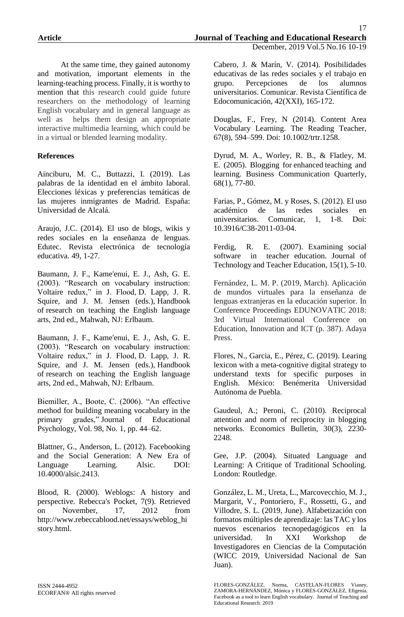At the same time, they gained autonomy and motivation, important elements in the learning-teaching process. Finally, it is worthy to mention that this research could guide future researchers on the methodology of learning English vocabulary and in general language as well as helps them design an appropriate interactive multimedia learning, which could be in a virtual or blended learning modality.

# **References**

Ainciburu, M. C., Buttazzi, I. (2019). Las palabras de la identidad en el ámbito laboral. Elecciones léxicas y preferencias temáticas de las mujeres inmigrantes de Madrid. España: Universidad de Alcalá.

Araujo, J.C. (2014). El uso de blogs, wikis y redes sociales en la enseñanza de lenguas. Edutec. Revista electrónica de tecnología educativa. 49, 1-27.

Baumann, J. F., Kame'enui, E. J., Ash, G. E. (2003). "Research on vocabulary instruction: Voltaire redux," in J. Flood, D. Lapp, J. R. Squire, and J. M. Jensen (eds.), Handbook of research on teaching the English language arts, 2nd ed., Mahwah, NJ: Erlbaum.

Baumann, J. F., Kame'enui, E. J., Ash, G. E. (2003). "Research on vocabulary instruction: Voltaire redux," in J. Flood, D. Lapp, J. R. Squire, and J. M. Jensen (eds.), Handbook of research on teaching the English language arts, 2nd ed., Mahwah, NJ: Erlbaum.

Biemiller, A., Boote, C. (2006). "An effective method for building meaning vocabulary in the primary grades," Journal of Educational Psychology, Vol. 98, No. 1, pp. 44–62.

Blattner, G., Anderson, L. (2012). Facebooking and the Social Generation: A New Era of Language Learning. Alsic. DOI: 10.4000/alsic.2413.

Blood, R. (2000). Weblogs: A history and perspective. Rebecca's Pocket, 7(9). Retrieved on November, 17, 2012 from http://www.rebeccablood.net/essays/weblog\_hi story.html.

Cabero, J. & Marín, V. (2014). Posibilidades educativas de las redes sociales y el trabajo en grupo. Percepciones de los alumnos universitarios. Comunicar. Revista Científica de Edocomunicación, 42(XXI), 165-172.

Douglas, F., Frey, N (2014). Content Area Vocabulary Learning. The Reading Teacher, 67(8), 594–599. Doi: 10.1002/trtr.1258.

Dyrud, M. A., Worley, R. B., & Flatley, M. E. (2005). Blogging for enhanced teaching and learning. Business Communication Quarterly, 68(1), 77-80.

Farias, P., Gómez, M. y Roses, S. (2012). El uso académico de las redes sociales en universitarios. Comunicar, 1, 1-8. Doi: 10.3916/C38-2011-03-04.

Ferdig, R. E. (2007). Examining social software in teacher education. Journal of Technology and Teacher Education, 15(1), 5-10.

Fernández, L. M. P. (2019, March). Aplicación de mundos virtuales para la enseñanza de lenguas extranjeras en la educación superior. In Conference Proceedings EDUNOVATIC 2018: 3rd Virtual International Conference on Education, Innovation and ICT (p. 387). Adaya Press.

Flores, N., Garcia, E., Pérez, C. (2019). Learing lexicon with a meta-cognitive digital strategy to understand texts for specific purposes in English. México: Benémerita Universidad Autónoma de Puebla.

Gaudeul, A.; Peroni, C. (2010). Reciprocal attention and norm of reciprocity in blogging networks. Economics Bulletin, 30(3), 2230- 2248.

Gee, J.P. (2004). Situated Language and Learning: A Critique of Traditional Schooling. London: Routledge.

González, L. M., Ureta, L., Marcovecchio, M. J., Margarit, V., Pontoriero, F., Rossetti, G., and Villodre, S. L. (2019, June). Alfabetización con formatos múltiples de aprendizaje: las TAC y los nuevos escenarios tecnopedagógicos en la universidad. In XXI Workshop de Investigadores en Ciencias de la Computación (WICC 2019, Universidad Nacional de San Juan).

FLORES-GONZÁLEZ, Norma, CASTELAN-FLORES Vianey, ZAMORA-HERNÁNDEZ, Mónica y FLORES-GONZÁLEZ, Efigenia. Facebook as a tool to learn English vocabulary. Journal of Teaching and Educational Research. 2019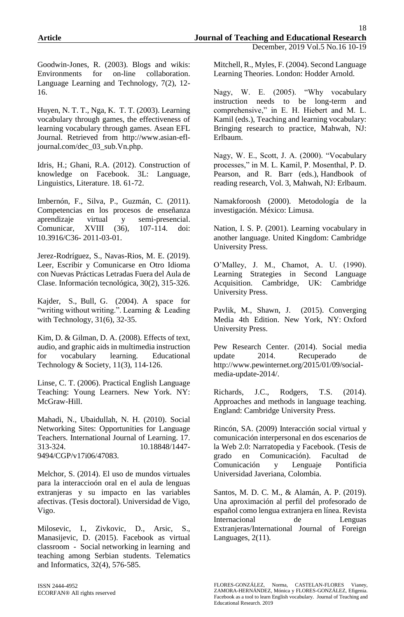Goodwin-Jones, R. (2003). Blogs and wikis: Environments for on-line collaboration. Language Learning and Technology, 7(2), 12- 16.

Huyen, N. T. T., Nga, K. T. T. (2003). Learning vocabulary through games, the effectiveness of learning vocabulary through games. Asean EFL Journal. Retrieved from http://www.asian-efljournal.com/dec\_03\_sub.Vn.php.

Idris, H.; Ghani, R.A. (2012). Construction of knowledge on Facebook. 3L: Language, Linguistics, Literature. 18. 61-72.

Imbernón, F., Silva, P., Guzmán, C. (2011). Competencias en los procesos de enseñanza aprendizaje virtual y semi-presencial. Comunicar, XVIII (36), 107-114. doi: 10.3916/C36- 2011-03-01.

Jerez-Rodríguez, S., Navas-Rios, M. E. (2019). Leer, Escribir y Comunicarse en Otro Idioma con Nuevas Prácticas Letradas Fuera del Aula de Clase. Información tecnológica, 30(2), 315-326.

Kajder, S., Bull, G. (2004). A space for "writing without writing.". Learning & Leading with Technology, 31(6), 32-35.

Kim, D. & Gilman, D. A. (2008). Effects of text, audio, and graphic aids in multimedia instruction for vocabulary learning. Educational Technology & Society, 11(3), 114-126.

Linse, C. T. (2006). Practical English Language Teaching: Young Learners. New York. NY: McGraw-Hill.

Mahadi, N., Ubaidullah, N. H. (2010). Social Networking Sites: Opportunities for Language Teachers. International Journal of Learning. 17. 313-324. 10.18848/1447- 9494/CGP/v17i06/47083.

Melchor, S. (2014). El uso de mundos virtuales para la interaccioón oral en el aula de lenguas extranjeras y su impacto en las variables afectivas. (Tesis doctoral). Universidad de Vigo, Vigo.

Milosevic, I., Zivkovic, D., Arsic, S., Manasijevic, D. (2015). Facebook as virtual classroom - Social networking in learning and teaching among Serbian students. Telematics and Informatics, 32(4), 576-585.

ISSN 2444-4952 ECORFAN® All rights reserved

Mitchell, R., Myles, F. (2004). Second Language Learning Theories. London: Hodder Arnold.

Nagy, W. E. (2005). "Why vocabulary instruction needs to be long-term and comprehensive," in E. H. Hiebert and M. L. Kamil (eds.), Teaching and learning vocabulary: Bringing research to practice, Mahwah, NJ: Erlbaum.

Nagy, W. E., Scott, J. A. (2000). "Vocabulary processes," in M. L. Kamil, P. Mosenthal, P. D. Pearson, and R. Barr (eds.), Handbook of reading research, Vol. 3, Mahwah, NJ: Erlbaum.

Namakforoosh (2000). Metodología de la investigación. México: Limusa.

Nation, I. S. P. (2001). Learning vocabulary in another language. United Kingdom: Cambridge University Press.

O'Malley, J. M., Chamot, A. U. (1990). Learning Strategies in Second Language Acquisition. Cambridge, UK: Cambridge University Press.

Pavlik, M., Shawn, J. (2015). Converging Media 4th Edition. New York, NY: Oxford University Press.

Pew Research Center. (2014). Social media update 2014. Recuperado de http://www.pewinternet.org/2015/01/09/socialmedia-update-2014/.

Richards, J.C., Rodgers, T.S. (2014). Approaches and methods in language teaching. England: Cambridge University Press.

Rincón, SA. (2009) Interacción social virtual y comunicación interpersonal en dos escenarios de la Web 2.0: Narratopedia y Facebook. (Tesis de grado en Comunicación). Facultad de Comunicación y Lenguaje Pontificia Universidad Javeriana, Colombia.

Santos, M. D. C. M., & Alamán, A. P. (2019). Una aproximación al perfil del profesorado de español como lengua extranjera en línea. Revista Internacional de Lenguas Extranjeras/International Journal of Foreign Languages, 2(11).

FLORES-GONZÁLEZ, Norma, CASTELAN-FLORES Vianey, ZAMORA-HERNÁNDEZ, Mónica y FLORES-GONZÁLEZ, Efigenia. Facebook as a tool to learn English vocabulary. Journal of Teaching and Educational Research. 2019